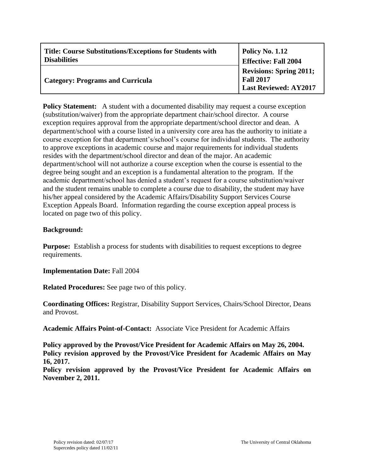| <b>Title: Course Substitutions/Exceptions for Students with</b> | <b>Policy No. 1.12</b>                                                             |
|-----------------------------------------------------------------|------------------------------------------------------------------------------------|
| <b>Disabilities</b>                                             | <b>Effective: Fall 2004</b>                                                        |
| <b>Category: Programs and Curricula</b>                         | <b>Revisions: Spring 2011;</b><br><b>Fall 2017</b><br><b>Last Reviewed: AY2017</b> |

**Policy Statement:** A student with a documented disability may request a course exception (substitution/waiver) from the appropriate department chair/school director. A course exception requires approval from the appropriate department/school director and dean. A department/school with a course listed in a university core area has the authority to initiate a course exception for that department's/school's course for individual students. The authority to approve exceptions in academic course and major requirements for individual students resides with the department/school director and dean of the major. An academic department/school will not authorize a course exception when the course is essential to the degree being sought and an exception is a fundamental alteration to the program. If the academic department/school has denied a student's request for a course substitution/waiver and the student remains unable to complete a course due to disability, the student may have his/her appeal considered by the Academic Affairs/Disability Support Services Course Exception Appeals Board. Information regarding the course exception appeal process is located on page two of this policy.

## **Background:**

**Purpose:** Establish a process for students with disabilities to request exceptions to degree requirements.

**Implementation Date:** Fall 2004

**Related Procedures:** See page two of this policy.

**Coordinating Offices:** Registrar, Disability Support Services, Chairs/School Director, Deans and Provost.

**Academic Affairs Point-of-Contact:** Associate Vice President for Academic Affairs

**Policy approved by the Provost/Vice President for Academic Affairs on May 26, 2004. Policy revision approved by the Provost/Vice President for Academic Affairs on May 16, 2017.**

**Policy revision approved by the Provost/Vice President for Academic Affairs on November 2, 2011.**